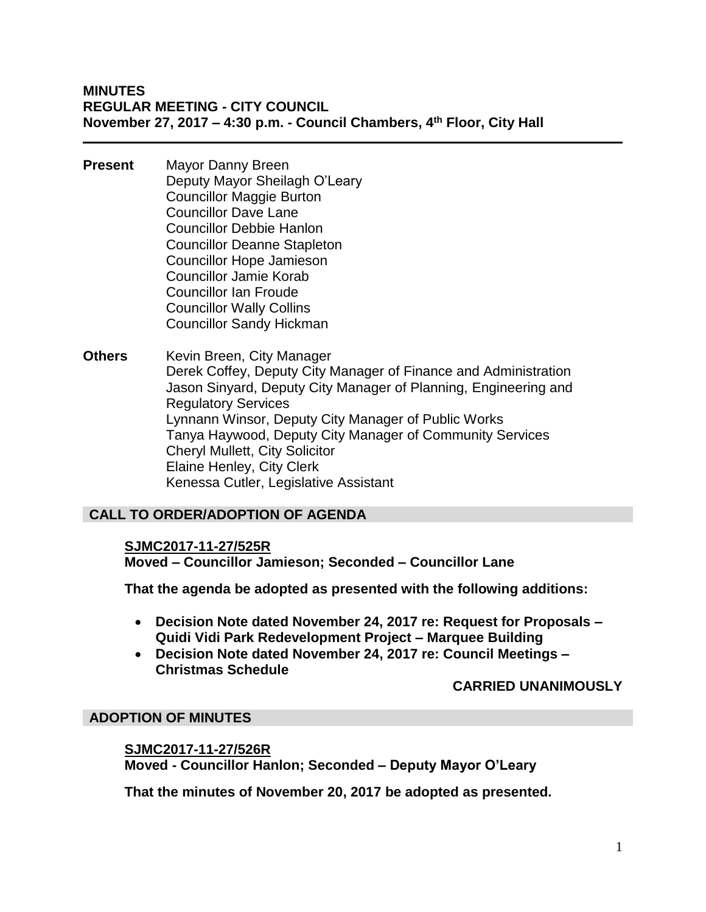**MINUTES REGULAR MEETING - CITY COUNCIL November 27, 2017 – 4:30 p.m. - Council Chambers, 4th Floor, City Hall**

- **Present** Mayor Danny Breen Deputy Mayor Sheilagh O'Leary Councillor Maggie Burton Councillor Dave Lane Councillor Debbie Hanlon Councillor Deanne Stapleton Councillor Hope Jamieson Councillor Jamie Korab Councillor Ian Froude Councillor Wally Collins Councillor Sandy Hickman
- **Others** Kevin Breen, City Manager Derek Coffey, Deputy City Manager of Finance and Administration Jason Sinyard, Deputy City Manager of Planning, Engineering and Regulatory Services Lynnann Winsor, Deputy City Manager of Public Works Tanya Haywood, Deputy City Manager of Community Services Cheryl Mullett, City Solicitor Elaine Henley, City Clerk Kenessa Cutler, Legislative Assistant

# **CALL TO ORDER/ADOPTION OF AGENDA**

#### **SJMC2017-11-27/525R**

**Moved – Councillor Jamieson; Seconded – Councillor Lane**

**That the agenda be adopted as presented with the following additions:**

- **Decision Note dated November 24, 2017 re: Request for Proposals – Quidi Vidi Park Redevelopment Project – Marquee Building**
- **Decision Note dated November 24, 2017 re: Council Meetings – Christmas Schedule**

# **CARRIED UNANIMOUSLY**

# **ADOPTION OF MINUTES**

#### **SJMC2017-11-27/526R**

**Moved - Councillor Hanlon; Seconded – Deputy Mayor O'Leary**

**That the minutes of November 20, 2017 be adopted as presented.**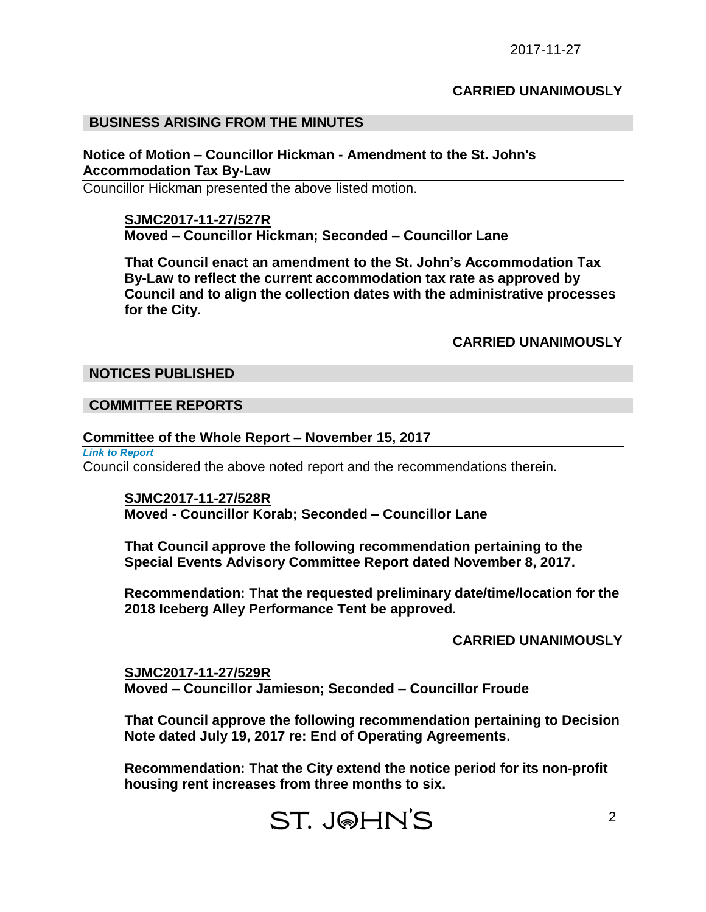#### **CARRIED UNANIMOUSLY**

#### **BUSINESS ARISING FROM THE MINUTES**

#### **Notice of Motion – Councillor Hickman - Amendment to the St. John's Accommodation Tax By-Law**

Councillor Hickman presented the above listed motion.

#### **SJMC2017-11-27/527R**

**Moved – Councillor Hickman; Seconded – Councillor Lane**

**That Council enact an amendment to the St. John's Accommodation Tax By-Law to reflect the current accommodation tax rate as approved by Council and to align the collection dates with the administrative processes for the City.**

#### **CARRIED UNANIMOUSLY**

#### **NOTICES PUBLISHED**

#### **COMMITTEE REPORTS**

#### **Committee of the Whole Report – November 15, 2017**

*Link to Report* 

Council considered the above noted report and the recommendations therein.

#### **SJMC2017-11-27/528R Moved - Councillor Korab; Seconded – Councillor Lane**

**That Council approve the following recommendation pertaining to the Special Events Advisory Committee Report dated November 8, 2017.**

**Recommendation: That the requested preliminary date/time/location for the 2018 Iceberg Alley Performance Tent be approved.**

# **CARRIED UNANIMOUSLY**

2

**SJMC2017-11-27/529R Moved – Councillor Jamieson; Seconded – Councillor Froude**

**That Council approve the following recommendation pertaining to Decision Note dated July 19, 2017 re: End of Operating Agreements.**

**Recommendation: That the City extend the notice period for its non-profit housing rent increases from three months to six.**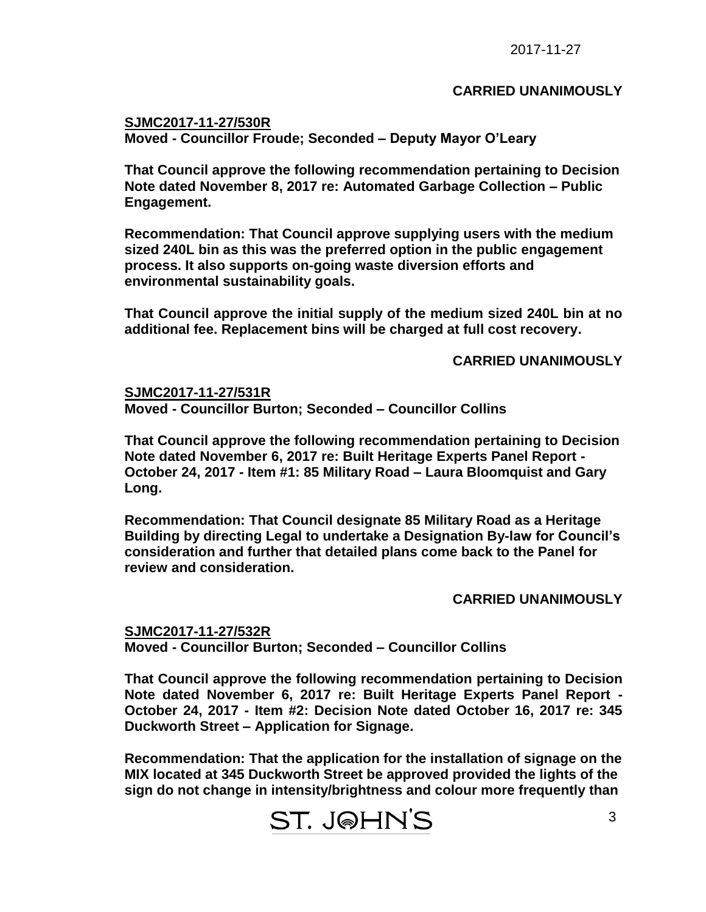#### **CARRIED UNANIMOUSLY**

**SJMC2017-11-27/530R Moved - Councillor Froude; Seconded – Deputy Mayor O'Leary**

**That Council approve the following recommendation pertaining to Decision Note dated November 8, 2017 re: Automated Garbage Collection – Public Engagement.**

**Recommendation: That Council approve supplying users with the medium sized 240L bin as this was the preferred option in the public engagement process. It also supports on-going waste diversion efforts and environmental sustainability goals.**

**That Council approve the initial supply of the medium sized 240L bin at no additional fee. Replacement bins will be charged at full cost recovery.**

**CARRIED UNANIMOUSLY**

**SJMC2017-11-27/531R Moved - Councillor Burton; Seconded – Councillor Collins**

**That Council approve the following recommendation pertaining to Decision Note dated November 6, 2017 re: Built Heritage Experts Panel Report - October 24, 2017 - Item #1: 85 Military Road – Laura Bloomquist and Gary Long.**

**Recommendation: That Council designate 85 Military Road as a Heritage Building by directing Legal to undertake a Designation By-law for Council's consideration and further that detailed plans come back to the Panel for review and consideration.**

# **CARRIED UNANIMOUSLY**

**SJMC2017-11-27/532R Moved - Councillor Burton; Seconded – Councillor Collins**

**That Council approve the following recommendation pertaining to Decision Note dated November 6, 2017 re: Built Heritage Experts Panel Report - October 24, 2017 - Item #2: Decision Note dated October 16, 2017 re: 345 Duckworth Street – Application for Signage.**

**Recommendation: That the application for the installation of signage on the MIX located at 345 Duckworth Street be approved provided the lights of the sign do not change in intensity/brightness and colour more frequently than**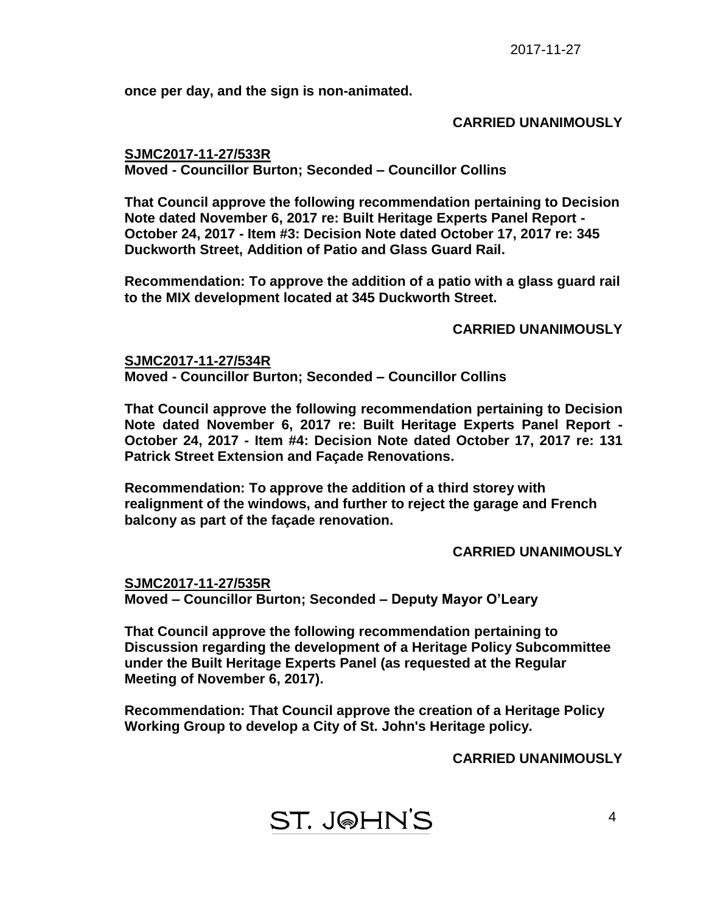**once per day, and the sign is non-animated.**

#### **CARRIED UNANIMOUSLY**

**SJMC2017-11-27/533R Moved - Councillor Burton; Seconded – Councillor Collins**

**That Council approve the following recommendation pertaining to Decision Note dated November 6, 2017 re: Built Heritage Experts Panel Report - October 24, 2017 - Item #3: Decision Note dated October 17, 2017 re: 345 Duckworth Street, Addition of Patio and Glass Guard Rail.**

**Recommendation: To approve the addition of a patio with a glass guard rail to the MIX development located at 345 Duckworth Street.**

# **CARRIED UNANIMOUSLY**

**SJMC2017-11-27/534R Moved - Councillor Burton; Seconded – Councillor Collins**

**That Council approve the following recommendation pertaining to Decision Note dated November 6, 2017 re: Built Heritage Experts Panel Report - October 24, 2017 - Item #4: Decision Note dated October 17, 2017 re: 131 Patrick Street Extension and Façade Renovations.**

**Recommendation: To approve the addition of a third storey with realignment of the windows, and further to reject the garage and French balcony as part of the façade renovation.**

# **CARRIED UNANIMOUSLY**

**SJMC2017-11-27/535R Moved – Councillor Burton; Seconded – Deputy Mayor O'Leary**

**That Council approve the following recommendation pertaining to Discussion regarding the development of a Heritage Policy Subcommittee under the Built Heritage Experts Panel (as requested at the Regular Meeting of November 6, 2017).**

**Recommendation: That Council approve the creation of a Heritage Policy Working Group to develop a City of St. John's Heritage policy.** 

**CARRIED UNANIMOUSLY**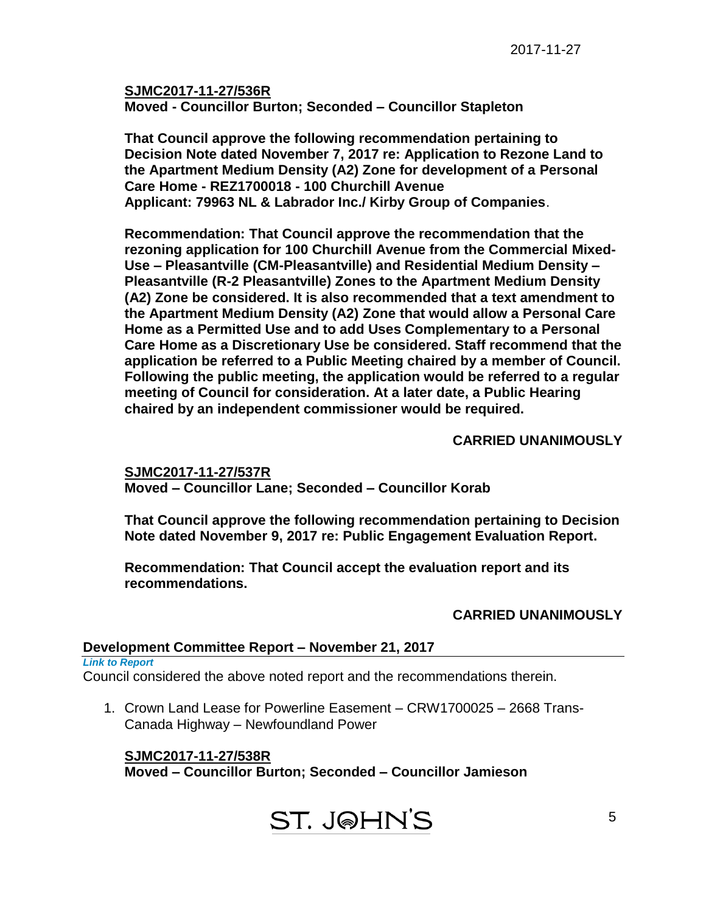**SJMC2017-11-27/536R Moved - Councillor Burton; Seconded – Councillor Stapleton**

**That Council approve the following recommendation pertaining to Decision Note dated November 7, 2017 re: Application to Rezone Land to the Apartment Medium Density (A2) Zone for development of a Personal Care Home - REZ1700018 - 100 Churchill Avenue Applicant: 79963 NL & Labrador Inc./ Kirby Group of Companies**.

**Recommendation: That Council approve the recommendation that the rezoning application for 100 Churchill Avenue from the Commercial Mixed-Use – Pleasantville (CM-Pleasantville) and Residential Medium Density – Pleasantville (R-2 Pleasantville) Zones to the Apartment Medium Density (A2) Zone be considered. It is also recommended that a text amendment to the Apartment Medium Density (A2) Zone that would allow a Personal Care Home as a Permitted Use and to add Uses Complementary to a Personal Care Home as a Discretionary Use be considered. Staff recommend that the application be referred to a Public Meeting chaired by a member of Council. Following the public meeting, the application would be referred to a regular meeting of Council for consideration. At a later date, a Public Hearing chaired by an independent commissioner would be required.**

# **CARRIED UNANIMOUSLY**

**SJMC2017-11-27/537R Moved – Councillor Lane; Seconded – Councillor Korab**

**That Council approve the following recommendation pertaining to Decision Note dated November 9, 2017 re: Public Engagement Evaluation Report.**

**Recommendation: That Council accept the evaluation report and its recommendations.**

# **CARRIED UNANIMOUSLY**

# **Development Committee Report – November 21, 2017**

*Link to Report* 

Council considered the above noted report and the recommendations therein.

1. Crown Land Lease for Powerline Easement – CRW1700025 – 2668 Trans-Canada Highway – Newfoundland Power

# **SJMC2017-11-27/538R**

**Moved – Councillor Burton; Seconded – Councillor Jamieson**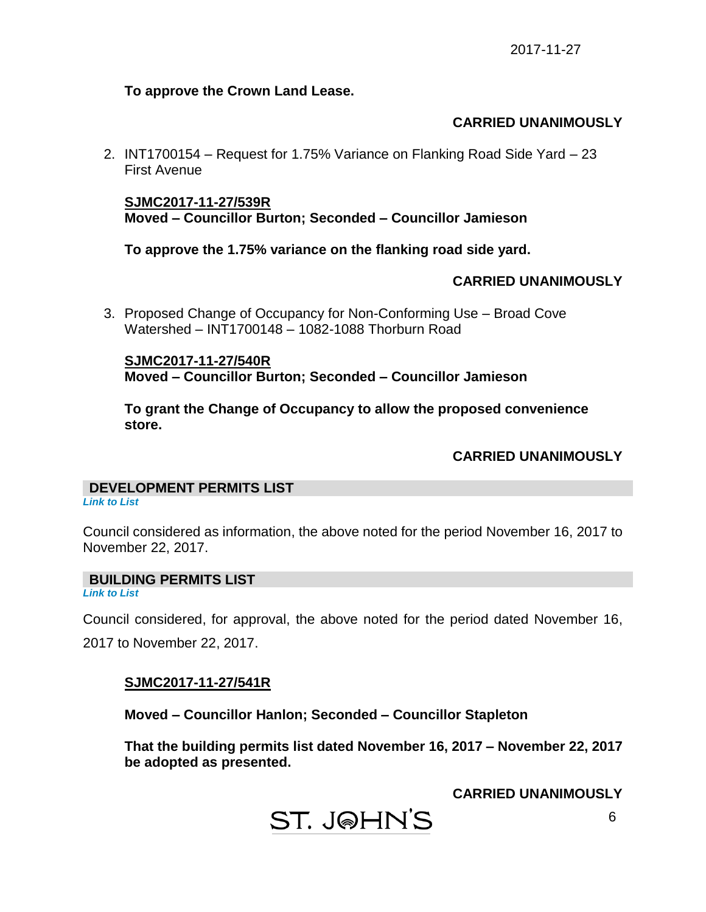#### **To approve the Crown Land Lease.**

# **CARRIED UNANIMOUSLY**

2. INT1700154 – Request for 1.75% Variance on Flanking Road Side Yard – 23 First Avenue

# **SJMC2017-11-27/539R Moved – Councillor Burton; Seconded – Councillor Jamieson**

**To approve the 1.75% variance on the flanking road side yard.**

# **CARRIED UNANIMOUSLY**

3. Proposed Change of Occupancy for Non-Conforming Use – Broad Cove Watershed – INT1700148 – 1082-1088 Thorburn Road

**SJMC2017-11-27/540R Moved – Councillor Burton; Seconded – Councillor Jamieson**

**To grant the Change of Occupancy to allow the proposed convenience store.**

# **CARRIED UNANIMOUSLY**

# **DEVELOPMENT PERMITS LIST**

*Link to List*

Council considered as information, the above noted for the period November 16, 2017 to November 22, 2017.

# **BUILDING PERMITS LIST**

*Link to List*

Council considered, for approval, the above noted for the period dated November 16,

2017 to November 22, 2017.

# **SJMC2017-11-27/541R**

**Moved – Councillor Hanlon; Seconded – Councillor Stapleton**

**That the building permits list dated November 16, 2017 – November 22, 2017 be adopted as presented.**

**CARRIED UNANIMOUSLY**

**ST. J@HN'S**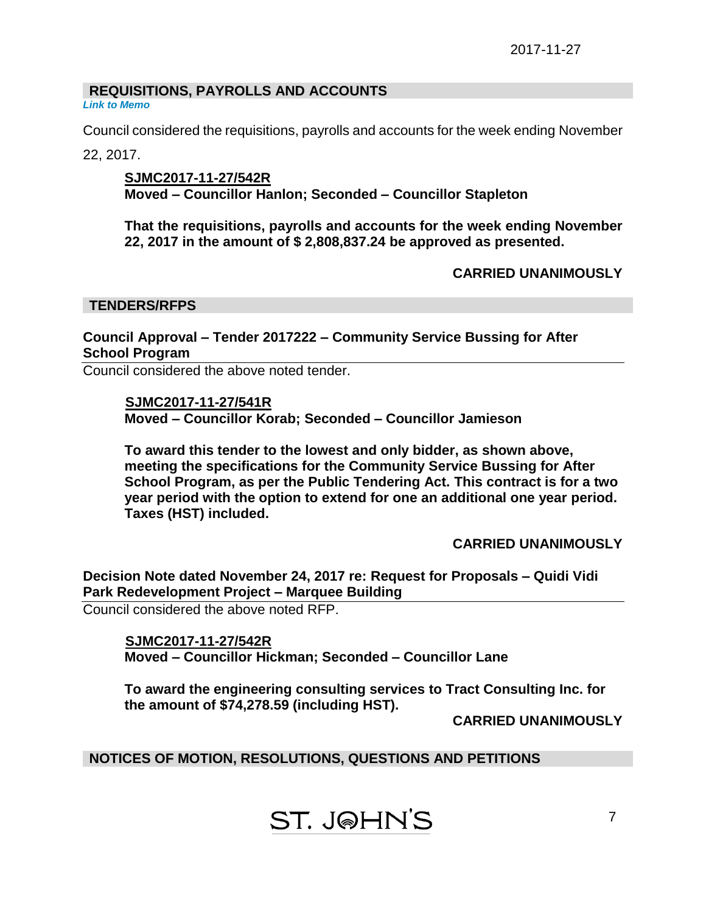# **REQUISITIONS, PAYROLLS AND ACCOUNTS**

*Link to Memo*

Council considered the requisitions, payrolls and accounts for the week ending November

22, 2017.

**SJMC2017-11-27/542R Moved – Councillor Hanlon; Seconded – Councillor Stapleton**

**That the requisitions, payrolls and accounts for the week ending November 22, 2017 in the amount of \$ 2,808,837.24 be approved as presented.**

**CARRIED UNANIMOUSLY**

#### **TENDERS/RFPS**

# **Council Approval – Tender 2017222 – Community Service Bussing for After School Program**

Council considered the above noted tender.

 **SJMC2017-11-27/541R Moved – Councillor Korab; Seconded – Councillor Jamieson**

**To award this tender to the lowest and only bidder, as shown above, meeting the specifications for the Community Service Bussing for After School Program, as per the Public Tendering Act. This contract is for a two year period with the option to extend for one an additional one year period. Taxes (HST) included.**

**CARRIED UNANIMOUSLY**

**Decision Note dated November 24, 2017 re: Request for Proposals – Quidi Vidi Park Redevelopment Project – Marquee Building**

Council considered the above noted RFP.

 **SJMC2017-11-27/542R Moved – Councillor Hickman; Seconded – Councillor Lane**

**To award the engineering consulting services to Tract Consulting Inc. for the amount of \$74,278.59 (including HST).** 

**CARRIED UNANIMOUSLY**

**NOTICES OF MOTION, RESOLUTIONS, QUESTIONS AND PETITIONS**